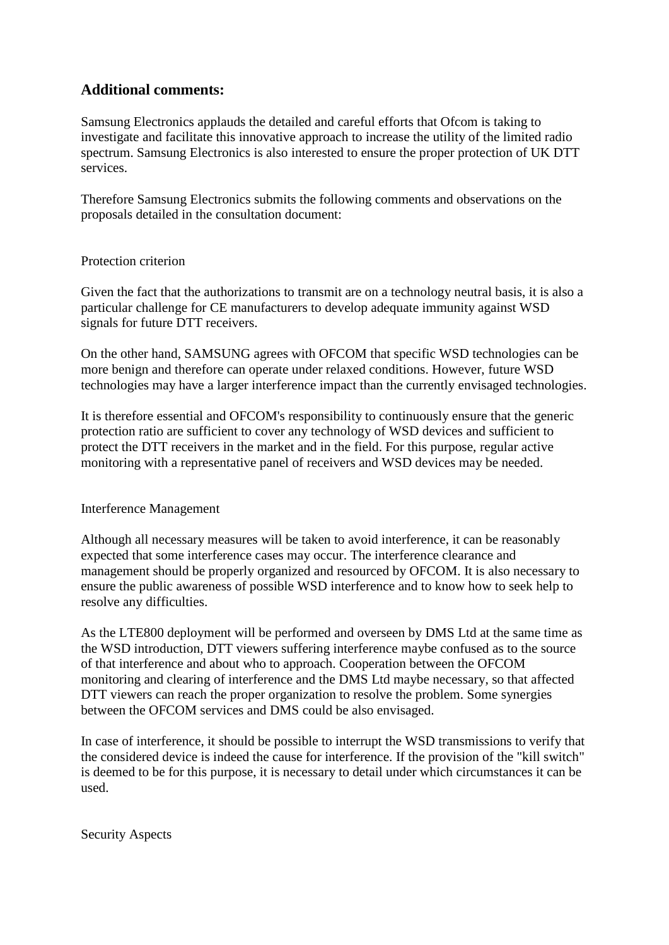# **Additional comments:**

Samsung Electronics applauds the detailed and careful efforts that Ofcom is taking to investigate and facilitate this innovative approach to increase the utility of the limited radio spectrum. Samsung Electronics is also interested to ensure the proper protection of UK DTT services.

Therefore Samsung Electronics submits the following comments and observations on the proposals detailed in the consultation document:

### Protection criterion

Given the fact that the authorizations to transmit are on a technology neutral basis, it is also a particular challenge for CE manufacturers to develop adequate immunity against WSD signals for future DTT receivers.

On the other hand, SAMSUNG agrees with OFCOM that specific WSD technologies can be more benign and therefore can operate under relaxed conditions. However, future WSD technologies may have a larger interference impact than the currently envisaged technologies.

It is therefore essential and OFCOM's responsibility to continuously ensure that the generic protection ratio are sufficient to cover any technology of WSD devices and sufficient to protect the DTT receivers in the market and in the field. For this purpose, regular active monitoring with a representative panel of receivers and WSD devices may be needed.

### Interference Management

Although all necessary measures will be taken to avoid interference, it can be reasonably expected that some interference cases may occur. The interference clearance and management should be properly organized and resourced by OFCOM. It is also necessary to ensure the public awareness of possible WSD interference and to know how to seek help to resolve any difficulties.

As the LTE800 deployment will be performed and overseen by DMS Ltd at the same time as the WSD introduction, DTT viewers suffering interference maybe confused as to the source of that interference and about who to approach. Cooperation between the OFCOM monitoring and clearing of interference and the DMS Ltd maybe necessary, so that affected DTT viewers can reach the proper organization to resolve the problem. Some synergies between the OFCOM services and DMS could be also envisaged.

In case of interference, it should be possible to interrupt the WSD transmissions to verify that the considered device is indeed the cause for interference. If the provision of the "kill switch" is deemed to be for this purpose, it is necessary to detail under which circumstances it can be used.

Security Aspects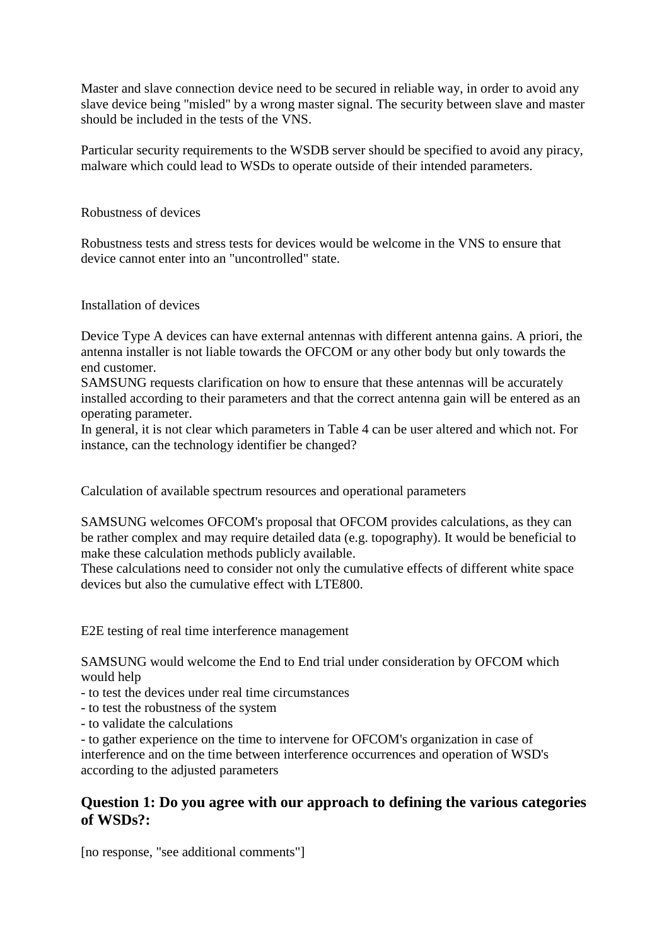Master and slave connection device need to be secured in reliable way, in order to avoid any slave device being "misled" by a wrong master signal. The security between slave and master should be included in the tests of the VNS.

Particular security requirements to the WSDB server should be specified to avoid any piracy, malware which could lead to WSDs to operate outside of their intended parameters.

Robustness of devices

Robustness tests and stress tests for devices would be welcome in the VNS to ensure that device cannot enter into an "uncontrolled" state.

Installation of devices

Device Type A devices can have external antennas with different antenna gains. A priori, the antenna installer is not liable towards the OFCOM or any other body but only towards the end customer.

SAMSUNG requests clarification on how to ensure that these antennas will be accurately installed according to their parameters and that the correct antenna gain will be entered as an operating parameter.

In general, it is not clear which parameters in Table 4 can be user altered and which not. For instance, can the technology identifier be changed?

Calculation of available spectrum resources and operational parameters

SAMSUNG welcomes OFCOM's proposal that OFCOM provides calculations, as they can be rather complex and may require detailed data (e.g. topography). It would be beneficial to make these calculation methods publicly available.

These calculations need to consider not only the cumulative effects of different white space devices but also the cumulative effect with LTE800.

E2E testing of real time interference management

SAMSUNG would welcome the End to End trial under consideration by OFCOM which would help

- to test the devices under real time circumstances
- to test the robustness of the system
- to validate the calculations

- to gather experience on the time to intervene for OFCOM's organization in case of interference and on the time between interference occurrences and operation of WSD's according to the adjusted parameters

### **Question 1: Do you agree with our approach to defining the various categories of WSDs?:**

[no response, "see additional comments"]